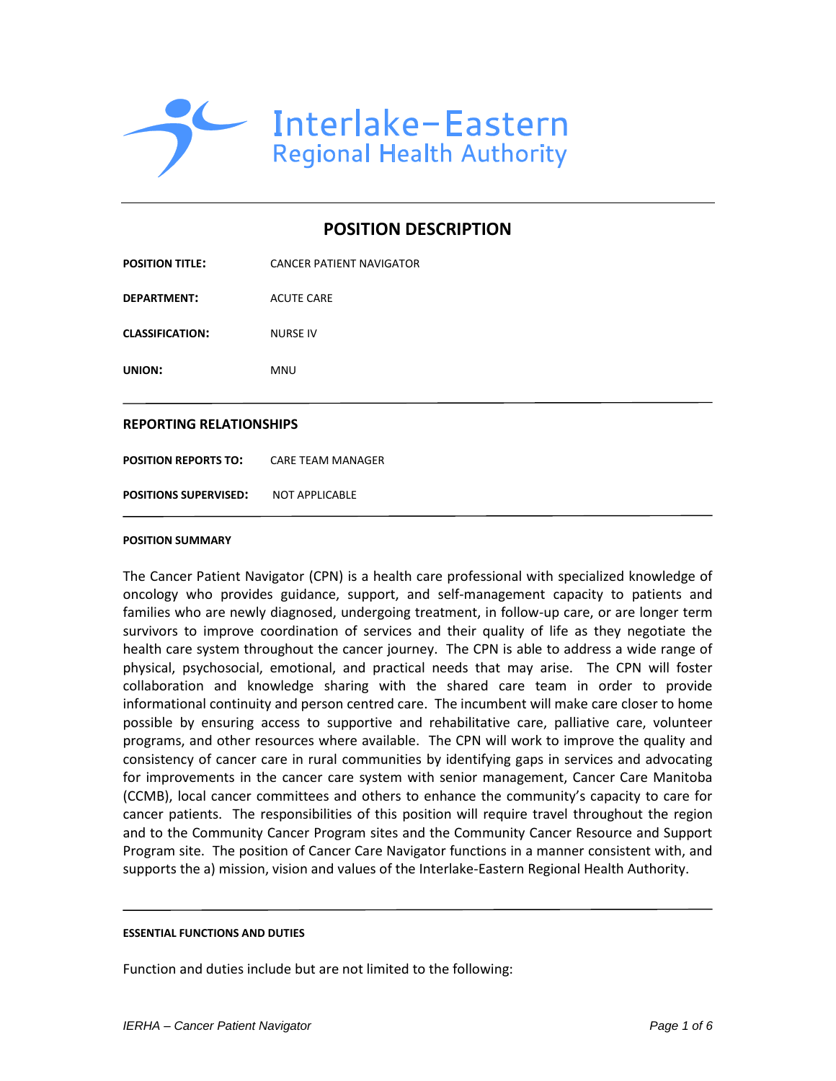

# **POSITION DESCRIPTION**

| <b>POSITION TITLE:</b>                        | <b>CANCER PATIENT NAVIGATOR</b> |  |
|-----------------------------------------------|---------------------------------|--|
| <b>DEPARTMENT:</b>                            | <b>ACUTE CARE</b>               |  |
| <b>CLASSIFICATION:</b>                        | <b>NURSE IV</b>                 |  |
| UNION:                                        | MNU                             |  |
| <b>REPORTING RELATIONSHIPS</b>                |                                 |  |
| <b>POSITION REPORTS TO: CARE TEAM MANAGER</b> |                                 |  |
| <b>POSITIONS SUPERVISED:</b>                  | NOT APPLICABLE                  |  |

#### **POSITION SUMMARY**

The Cancer Patient Navigator (CPN) is a health care professional with specialized knowledge of oncology who provides guidance, support, and self-management capacity to patients and families who are newly diagnosed, undergoing treatment, in follow-up care, or are longer term survivors to improve coordination of services and their quality of life as they negotiate the health care system throughout the cancer journey. The CPN is able to address a wide range of physical, psychosocial, emotional, and practical needs that may arise. The CPN will foster collaboration and knowledge sharing with the shared care team in order to provide informational continuity and person centred care. The incumbent will make care closer to home possible by ensuring access to supportive and rehabilitative care, palliative care, volunteer programs, and other resources where available. The CPN will work to improve the quality and consistency of cancer care in rural communities by identifying gaps in services and advocating for improvements in the cancer care system with senior management, Cancer Care Manitoba (CCMB), local cancer committees and others to enhance the community's capacity to care for cancer patients. The responsibilities of this position will require travel throughout the region and to the Community Cancer Program sites and the Community Cancer Resource and Support Program site. The position of Cancer Care Navigator functions in a manner consistent with, and supports the a) mission, vision and values of the Interlake-Eastern Regional Health Authority.

#### **ESSENTIAL FUNCTIONS AND DUTIES**

Function and duties include but are not limited to the following: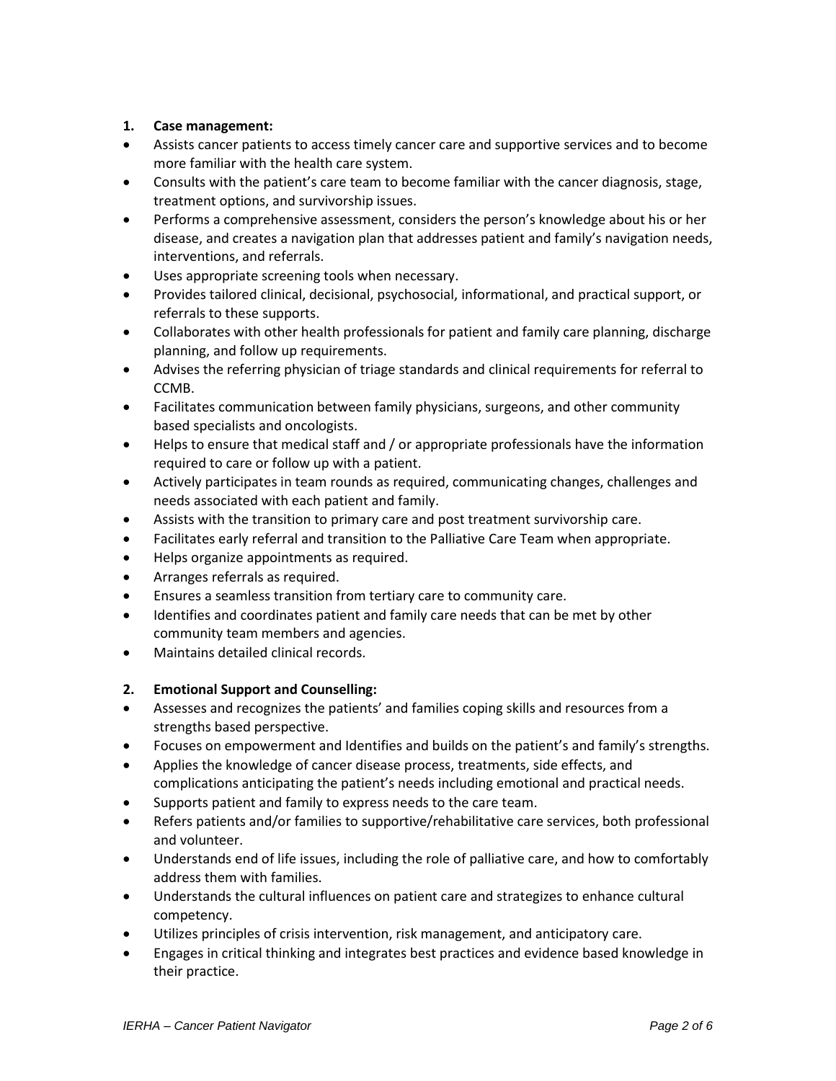## **1. Case management:**

- Assists cancer patients to access timely cancer care and supportive services and to become more familiar with the health care system.
- Consults with the patient's care team to become familiar with the cancer diagnosis, stage, treatment options, and survivorship issues.
- Performs a comprehensive assessment, considers the person's knowledge about his or her disease, and creates a navigation plan that addresses patient and family's navigation needs, interventions, and referrals.
- Uses appropriate screening tools when necessary.
- Provides tailored clinical, decisional, psychosocial, informational, and practical support, or referrals to these supports.
- Collaborates with other health professionals for patient and family care planning, discharge planning, and follow up requirements.
- Advises the referring physician of triage standards and clinical requirements for referral to CCMB.
- Facilitates communication between family physicians, surgeons, and other community based specialists and oncologists.
- Helps to ensure that medical staff and / or appropriate professionals have the information required to care or follow up with a patient.
- Actively participates in team rounds as required, communicating changes, challenges and needs associated with each patient and family.
- Assists with the transition to primary care and post treatment survivorship care.
- Facilitates early referral and transition to the Palliative Care Team when appropriate.
- Helps organize appointments as required.
- Arranges referrals as required.
- Ensures a seamless transition from tertiary care to community care.
- Identifies and coordinates patient and family care needs that can be met by other community team members and agencies.
- Maintains detailed clinical records.

### **2. Emotional Support and Counselling:**

- Assesses and recognizes the patients' and families coping skills and resources from a strengths based perspective.
- Focuses on empowerment and Identifies and builds on the patient's and family's strengths.
- Applies the knowledge of cancer disease process, treatments, side effects, and complications anticipating the patient's needs including emotional and practical needs.
- Supports patient and family to express needs to the care team.
- Refers patients and/or families to supportive/rehabilitative care services, both professional and volunteer.
- Understands end of life issues, including the role of palliative care, and how to comfortably address them with families.
- Understands the cultural influences on patient care and strategizes to enhance cultural competency.
- Utilizes principles of crisis intervention, risk management, and anticipatory care.
- Engages in critical thinking and integrates best practices and evidence based knowledge in their practice.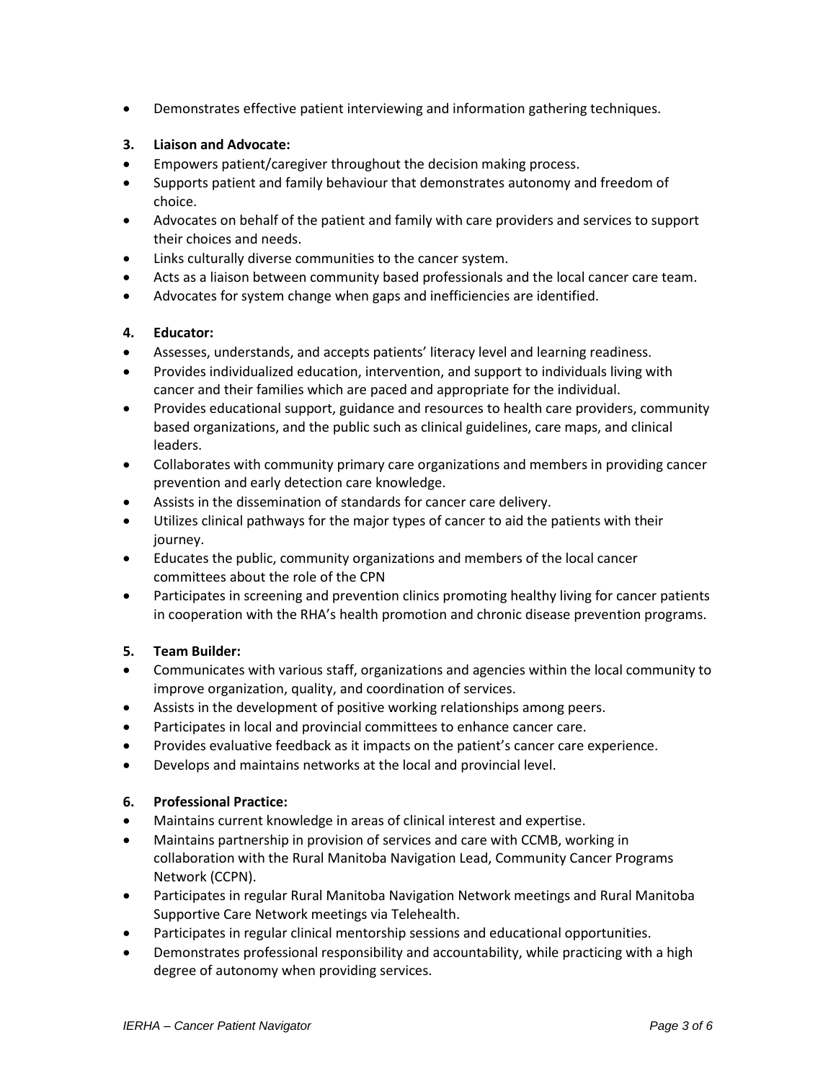Demonstrates effective patient interviewing and information gathering techniques.

## **3. Liaison and Advocate:**

- Empowers patient/caregiver throughout the decision making process.
- Supports patient and family behaviour that demonstrates autonomy and freedom of choice.
- Advocates on behalf of the patient and family with care providers and services to support their choices and needs.
- Links culturally diverse communities to the cancer system.
- Acts as a liaison between community based professionals and the local cancer care team.
- Advocates for system change when gaps and inefficiencies are identified.

## **4. Educator:**

- Assesses, understands, and accepts patients' literacy level and learning readiness.
- Provides individualized education, intervention, and support to individuals living with cancer and their families which are paced and appropriate for the individual.
- Provides educational support, guidance and resources to health care providers, community based organizations, and the public such as clinical guidelines, care maps, and clinical leaders.
- Collaborates with community primary care organizations and members in providing cancer prevention and early detection care knowledge.
- Assists in the dissemination of standards for cancer care delivery.
- Utilizes clinical pathways for the major types of cancer to aid the patients with their journey.
- Educates the public, community organizations and members of the local cancer committees about the role of the CPN
- Participates in screening and prevention clinics promoting healthy living for cancer patients in cooperation with the RHA's health promotion and chronic disease prevention programs.

### **5. Team Builder:**

- Communicates with various staff, organizations and agencies within the local community to improve organization, quality, and coordination of services.
- Assists in the development of positive working relationships among peers.
- Participates in local and provincial committees to enhance cancer care.
- Provides evaluative feedback as it impacts on the patient's cancer care experience.
- Develops and maintains networks at the local and provincial level.

### **6. Professional Practice:**

- Maintains current knowledge in areas of clinical interest and expertise.
- Maintains partnership in provision of services and care with CCMB, working in collaboration with the Rural Manitoba Navigation Lead, Community Cancer Programs Network (CCPN).
- Participates in regular Rural Manitoba Navigation Network meetings and Rural Manitoba Supportive Care Network meetings via Telehealth.
- Participates in regular clinical mentorship sessions and educational opportunities.
- Demonstrates professional responsibility and accountability, while practicing with a high degree of autonomy when providing services.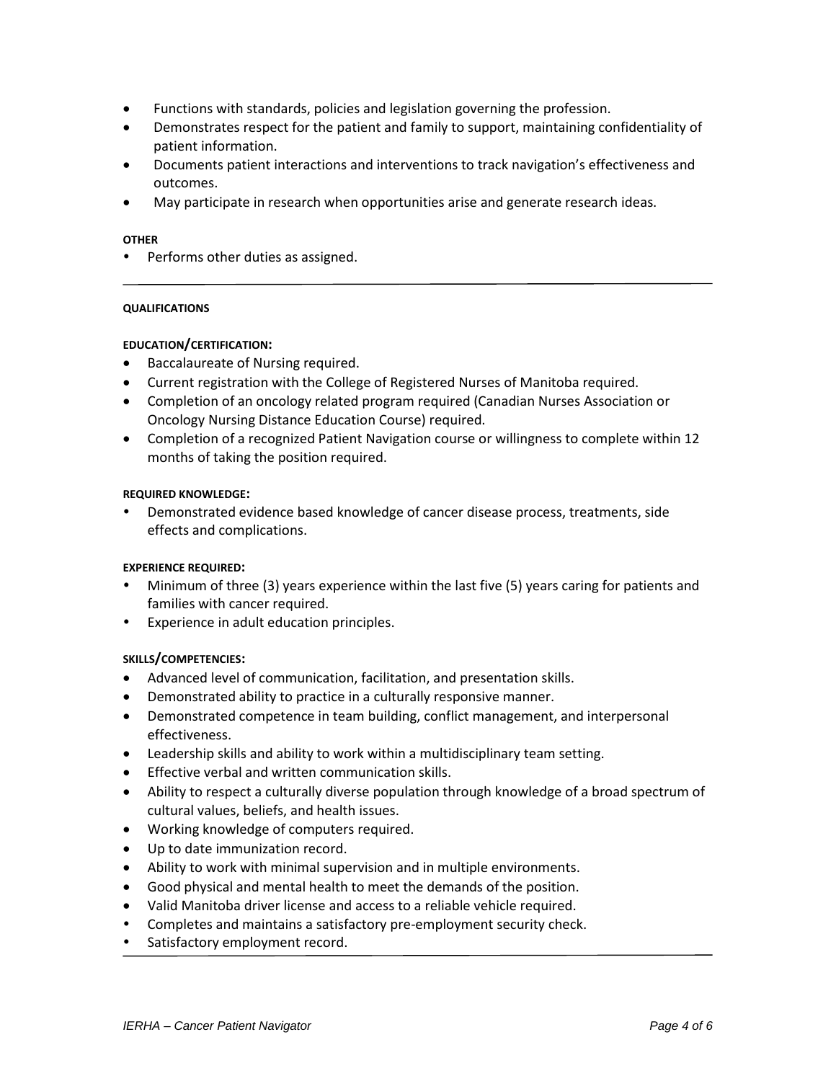- Functions with standards, policies and legislation governing the profession.
- Demonstrates respect for the patient and family to support, maintaining confidentiality of patient information.
- Documents patient interactions and interventions to track navigation's effectiveness and outcomes.
- May participate in research when opportunities arise and generate research ideas.

### **OTHER**

Performs other duties as assigned.

### **QUALIFICATIONS**

### **EDUCATION/CERTIFICATION:**

- Baccalaureate of Nursing required.
- Current registration with the College of Registered Nurses of Manitoba required.
- Completion of an oncology related program required (Canadian Nurses Association or Oncology Nursing Distance Education Course) required.
- Completion of a recognized Patient Navigation course or willingness to complete within 12 months of taking the position required.

### **REQUIRED KNOWLEDGE:**

 Demonstrated evidence based knowledge of cancer disease process, treatments, side effects and complications.

### **EXPERIENCE REQUIRED:**

- Minimum of three (3) years experience within the last five (5) years caring for patients and families with cancer required.
- Experience in adult education principles.

### **SKILLS/COMPETENCIES:**

- Advanced level of communication, facilitation, and presentation skills.
- Demonstrated ability to practice in a culturally responsive manner.
- Demonstrated competence in team building, conflict management, and interpersonal effectiveness.
- Leadership skills and ability to work within a multidisciplinary team setting.
- **•** Effective verbal and written communication skills.
- Ability to respect a culturally diverse population through knowledge of a broad spectrum of cultural values, beliefs, and health issues.
- Working knowledge of computers required.
- Up to date immunization record.
- Ability to work with minimal supervision and in multiple environments.
- Good physical and mental health to meet the demands of the position.
- Valid Manitoba driver license and access to a reliable vehicle required.
- Completes and maintains a satisfactory pre-employment security check.
- Satisfactory employment record.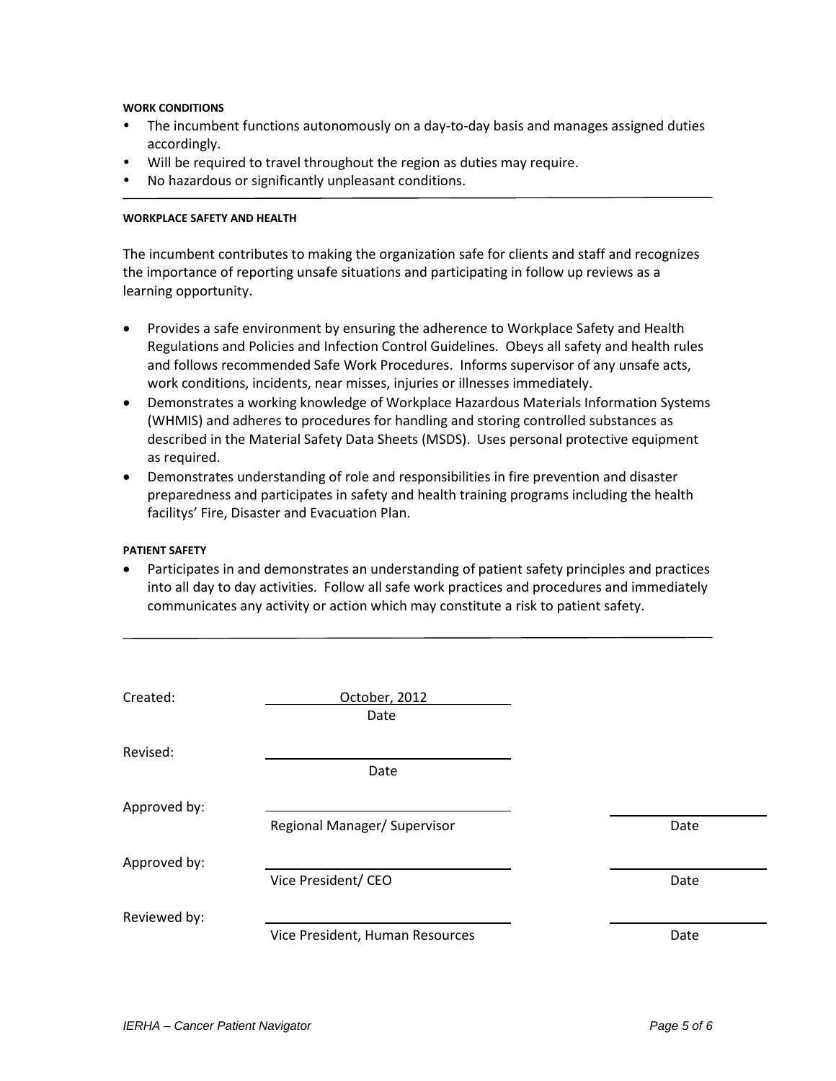#### **WORK CONDITIONS**

- The incumbent functions autonomously on a day-to-day basis and manages assigned duties accordingly.
- Will be required to travel throughout the region as duties may require.
- No hazardous or significantly unpleasant conditions.

#### **WORKPLACE SAFETY AND HEALTH**

The incumbent contributes to making the organization safe for clients and staff and recognizes the importance of reporting unsafe situations and participating in follow up reviews as a learning opportunity.

- Provides a safe environment by ensuring the adherence to Workplace Safety and Health Regulations and Policies and Infection Control Guidelines. Obeys all safety and health rules and follows recommended Safe Work Procedures. Informs supervisor of any unsafe acts, work conditions, incidents, near misses, injuries or illnesses immediately.
- Demonstrates a working knowledge of Workplace Hazardous Materials Information Systems (WHMIS) and adheres to procedures for handling and storing controlled substances as described in the Material Safety Data Sheets (MSDS). Uses personal protective equipment as required.
- Demonstrates understanding of role and responsibilities in fire prevention and disaster preparedness and participates in safety and health training programs including the health facilitys' Fire, Disaster and Evacuation Plan.

### **PATIENT SAFETY**

 Participates in and demonstrates an understanding of patient safety principles and practices into all day to day activities. Follow all safe work practices and procedures and immediately communicates any activity or action which may constitute a risk to patient safety.

| Created:     | October, 2012                   |      |
|--------------|---------------------------------|------|
|              | Date                            |      |
| Revised:     |                                 |      |
|              | Date                            |      |
| Approved by: |                                 |      |
|              | Regional Manager/ Supervisor    | Date |
| Approved by: |                                 |      |
|              | Vice President/ CEO             | Date |
| Reviewed by: |                                 |      |
|              | Vice President, Human Resources | Date |